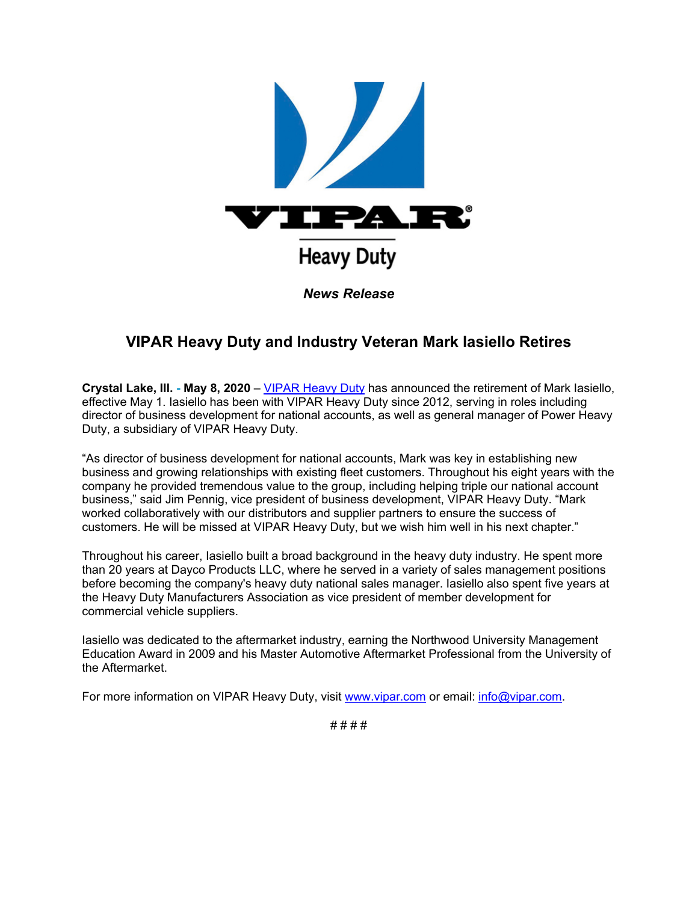

## **VIPAR Heavy Duty and Industry Veteran Mark Iasiello Retires**

**Crystal Lake, Ill. - May 8, 2020** – [VIPAR Heavy Duty](https://u7061146.ct.sendgrid.net/ls/click?upn=TeZUXWpUv-2B6TCY38pVLo9gN6DTGiavGxL76HpykJj88-3DeMtX_GVJEK9O3SNtoXCTVqtHHuZICRv8AuvD4nhCr-2BqrWSGQ0YRfxIfxQIIjjP-2FzzfgjgXFx1tscTv0ND-2B5Q8P5sfme61YjcKwV0ipKbqxLqQXiYQ4Lp-2FZCJcXIZymoJ8fHgkTXDYXW1tGvYaNZhXF5Mrk-2FUu2ohMpFz2i2ihCAE-2BtZdCyi1Z4KoVI5E0tpyK9BJ-2FKrMNtxljLIkTFFLLSFUQM2DuNIpfXx1k60BEHljhsrCNPfrgLY-2B4ZCpE2GMozT1ho5OR5b7X19NbCy-2B5uWVdrICD28cQsrqcNv6KH7cAQmJgWRgcAv09viZ5MCAdlAd4ChSYgnLK8WKeRgc4y5WgPdoSr-2B6jz-2FOJyIVOfyCroSs-3D) has announced the retirement of Mark Iasiello, effective May 1. Iasiello has been with VIPAR Heavy Duty since 2012, serving in roles including director of business development for national accounts, as well as general manager of Power Heavy Duty, a subsidiary of VIPAR Heavy Duty.

"As director of business development for national accounts, Mark was key in establishing new business and growing relationships with existing fleet customers. Throughout his eight years with the company he provided tremendous value to the group, including helping triple our national account business," said Jim Pennig, vice president of business development, VIPAR Heavy Duty. "Mark worked collaboratively with our distributors and supplier partners to ensure the success of customers. He will be missed at VIPAR Heavy Duty, but we wish him well in his next chapter."

Throughout his career, Iasiello built a broad background in the heavy duty industry. He spent more than 20 years at Dayco Products LLC, where he served in a variety of sales management positions before becoming the company's heavy duty national sales manager. Iasiello also spent five years at the Heavy Duty Manufacturers Association as vice president of member development for commercial vehicle suppliers.

Iasiello was dedicated to the aftermarket industry, earning the Northwood University Management Education Award in 2009 and his Master Automotive Aftermarket Professional from the University of the Aftermarket.

For more information on VIPAR Heavy Duty, visit [www.vipar.com](https://u7061146.ct.sendgrid.net/ls/click?upn=TeZUXWpUv-2B6TCY38pVLo9gN6DTGiavGxL76HpykJj88-3DnHid_GVJEK9O3SNtoXCTVqtHHuZICRv8AuvD4nhCr-2BqrWSGQ0YRfxIfxQIIjjP-2FzzfgjgXFx1tscTv0ND-2B5Q8P5sfme61YjcKwV0ipKbqxLqQXiYQ4Lp-2FZCJcXIZymoJ8fHgkTXDYXW1tGvYaNZhXF5Mrk-2FUu2ohMpFz2i2ihCAE-2BtZdCyi1Z4KoVI5E0tpyK9BJ-2FW-2FB3kgEci3ztrTJmCaW4XH61STjooQcNupeiFJtOM9QNGQ-2FXcfKPY-2BwPjl21oIrZKx2zaZ1vbSAJZ-2FNHtwlk6c-2B60OlKsK1ePwyBerLNP7RVDD-2BMp15e1HVh2VFPbflIEVQLASruKXos3Hzdkw4X2DMf0QaWc1cd2suDIrg-2BLWI-3D) or email: [info@vipar.com.](mailto:info@vipar.com)

# # # #